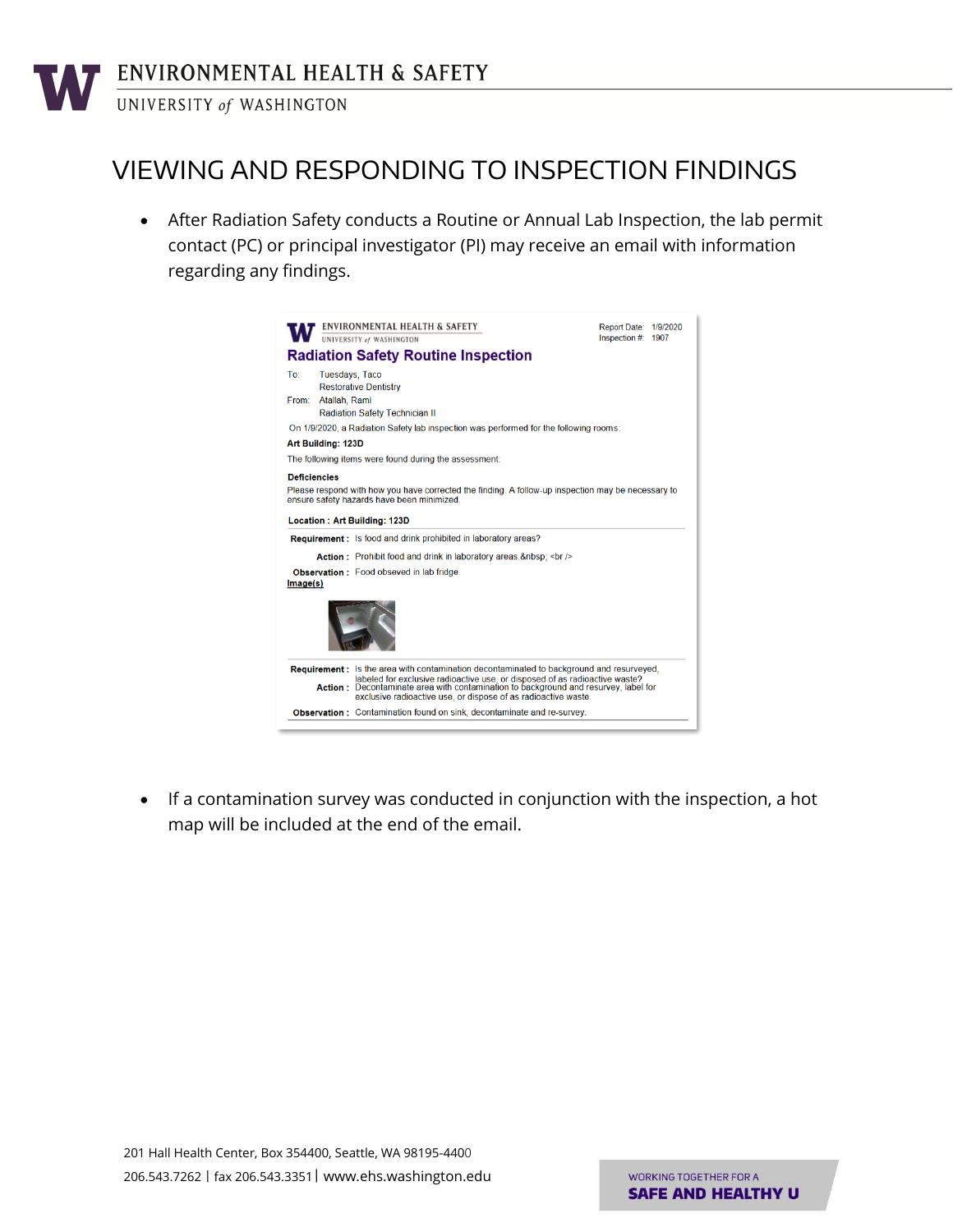## VIEWING AND RESPONDING TO INSPECTION FINDINGS

 After Radiation Safety conducts a Routine or Annual Lab Inspection, the lab permit contact (PC) or principal investigator (PI) may receive an email with information regarding any findings.



 If a contamination survey was conducted in conjunction with the inspection, a hot map will be included at the end of the email.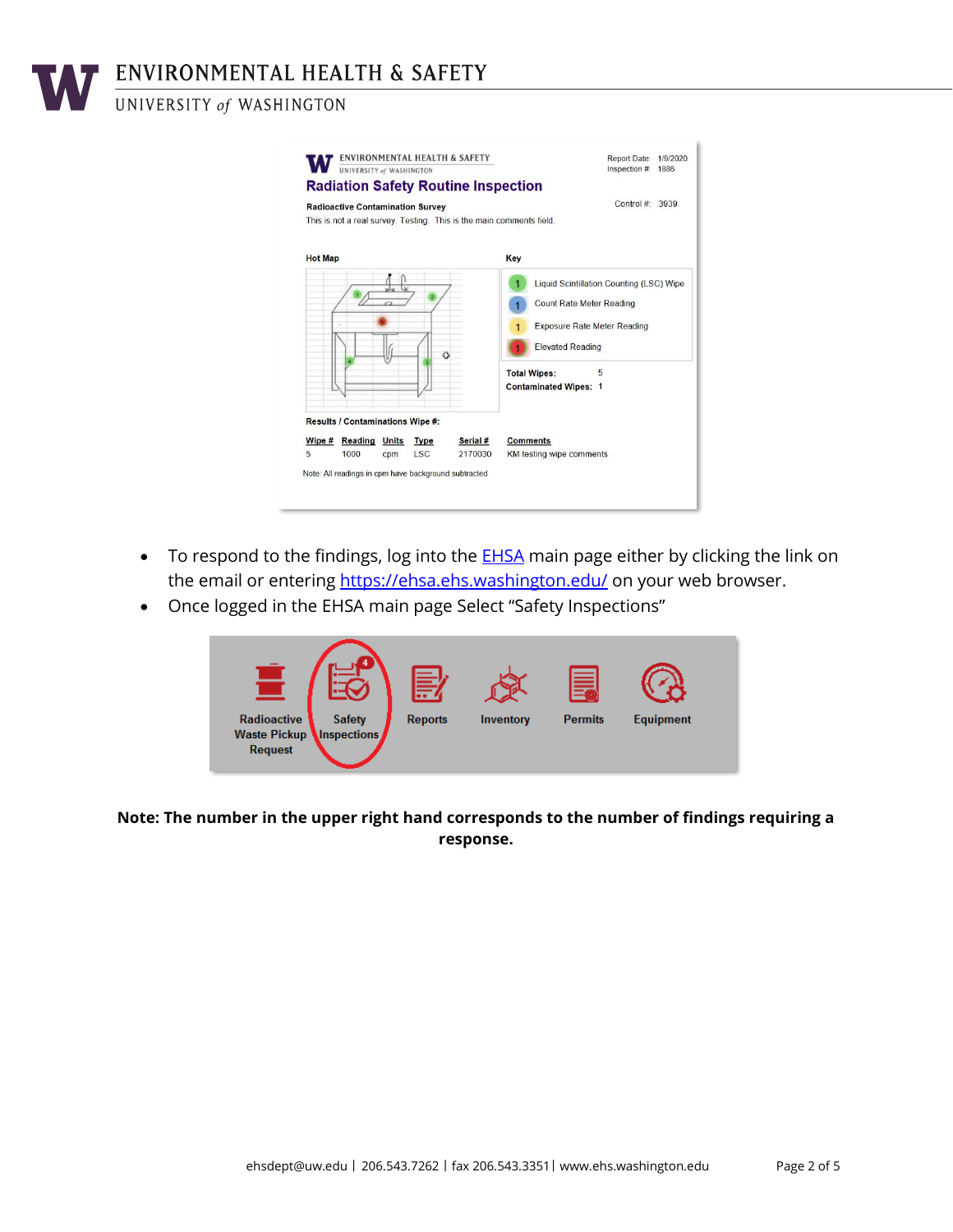ENVIRONMENTAL HEALTH & SAFETY

#### UNIVERSITY of WASHINGTON

| <b>Radiation Safety Routine Inspection</b><br><b>Radioactive Contamination Survey</b>                |                     | Control $\#$ 3939                                                                                                                                                                                        |
|------------------------------------------------------------------------------------------------------|---------------------|----------------------------------------------------------------------------------------------------------------------------------------------------------------------------------------------------------|
| This is not a real survey. Testing. This is the main comments field.                                 |                     |                                                                                                                                                                                                          |
| <b>Hot Map</b>                                                                                       |                     | Key                                                                                                                                                                                                      |
| Ø                                                                                                    |                     | Liquid Scintillation Counting (LSC) Wipe<br><b>Count Rate Meter Reading</b><br><b>Exposure Rate Meter Reading</b><br><b>Elevated Reading</b><br><b>Total Wipes:</b><br>5<br><b>Contaminated Wipes: 1</b> |
| Results / Contaminations Wipe #:<br><b>Reading Units</b><br>Wipe #<br><b>Type</b><br>5<br><b>LSC</b> | Serial #<br>2170030 | <b>Comments</b><br>KM testing wipe comments                                                                                                                                                              |

- To respond to the findings, log into the **EHSA** main page either by clicking the link on the email or entering [https://ehsa.ehs.washington.edu/](https://ehsa.ehs.washington.edu/ehsa) on your web browser.
- Once logged in the EHSA main page Select "Safety Inspections"



**Note: The number in the upper right hand corresponds to the number of findings requiring a response.**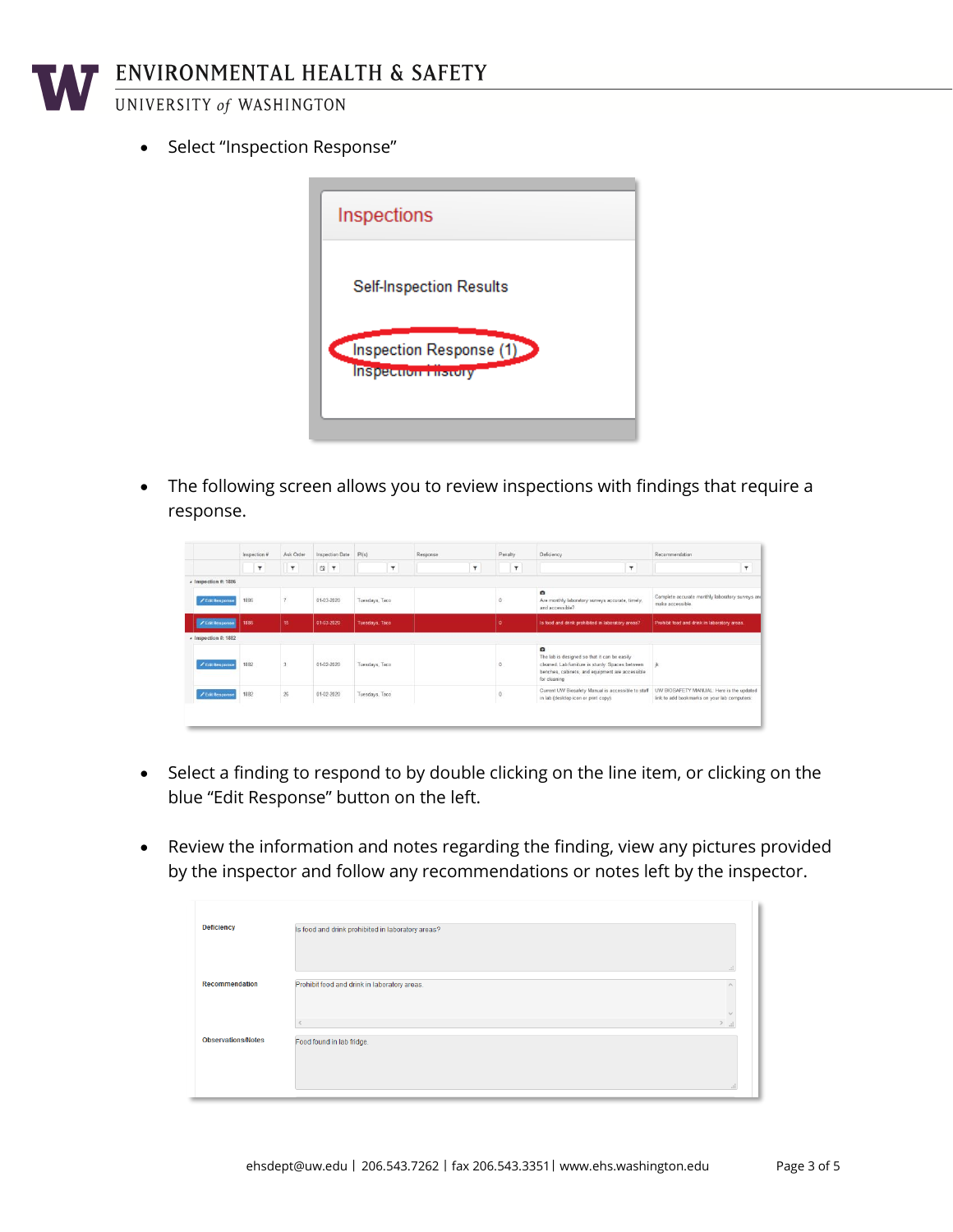

• Select "Inspection Response"



 The following screen allows you to review inspections with findings that require a response.

|                              |      | Inspection # | Ask Order |            | Inspection Date | P1(s)          |   | Response |                         | Penalty |                         | Deficiency                                                                                                                                                          | Recommendation                                                       |
|------------------------------|------|--------------|-----------|------------|-----------------|----------------|---|----------|-------------------------|---------|-------------------------|---------------------------------------------------------------------------------------------------------------------------------------------------------------------|----------------------------------------------------------------------|
|                              |      | $\pmb{\tau}$ | <b>T</b>  | 日下         |                 |                | ۳ |          | $\overline{\mathbf{r}}$ |         | $\overline{\mathbf{r}}$ | ۳                                                                                                                                                                   | ۳                                                                    |
| $\lambda$ Inspection #: 1886 |      |              |           |            |                 |                |   |          |                         |         |                         |                                                                                                                                                                     |                                                                      |
| / Edit Response              | 1886 |              |           | 01-03-2020 |                 | Tuesdays, Taco |   |          |                         | n       |                         | $\bullet$<br>Are monthly laboratory surveys accurate, timely,<br>and accessible?                                                                                    | Complete accurate monthly laboratory surveys and<br>make accessible. |
| <b>/ Edit Response</b>       | 1886 |              | 15        | 01-03-2020 |                 | Tuesdays, Taco |   |          |                         | ٥       |                         | Is food and drink prohibited in laboratory areas?                                                                                                                   | Prohibit food and drink in laboratory areas.                         |
| $\star$ Inspection #: 1882   |      |              |           |            |                 |                |   |          |                         |         |                         |                                                                                                                                                                     |                                                                      |
|                              |      |              |           |            |                 |                |   |          |                         |         |                         | $\alpha$                                                                                                                                                            |                                                                      |
| / Edit Response              | 1882 |              |           | 01-02-2020 |                 | Tuesdays, Taco |   |          |                         |         |                         | The lab is designed so that it can be easily<br>cleaned. Lab furniture is sturdy. Spaces between<br>benches, cabinets, and equipment are accessible<br>for cleaning |                                                                      |

- Select a finding to respond to by double clicking on the line item, or clicking on the blue "Edit Response" button on the left.
- Review the information and notes regarding the finding, view any pictures provided by the inspector and follow any recommendations or notes left by the inspector.

| <b>Deficiency</b>         | Is food and drink prohibited in laboratory areas?     |
|---------------------------|-------------------------------------------------------|
| <b>Recommendation</b>     | $-11$<br>Prohibit food and drink in laboratory areas. |
| <b>Observations/Notes</b> | $\sim$<br>$\mathbb{R}^2$<br>Food found in lab fridge. |
|                           | $\cdot$                                               |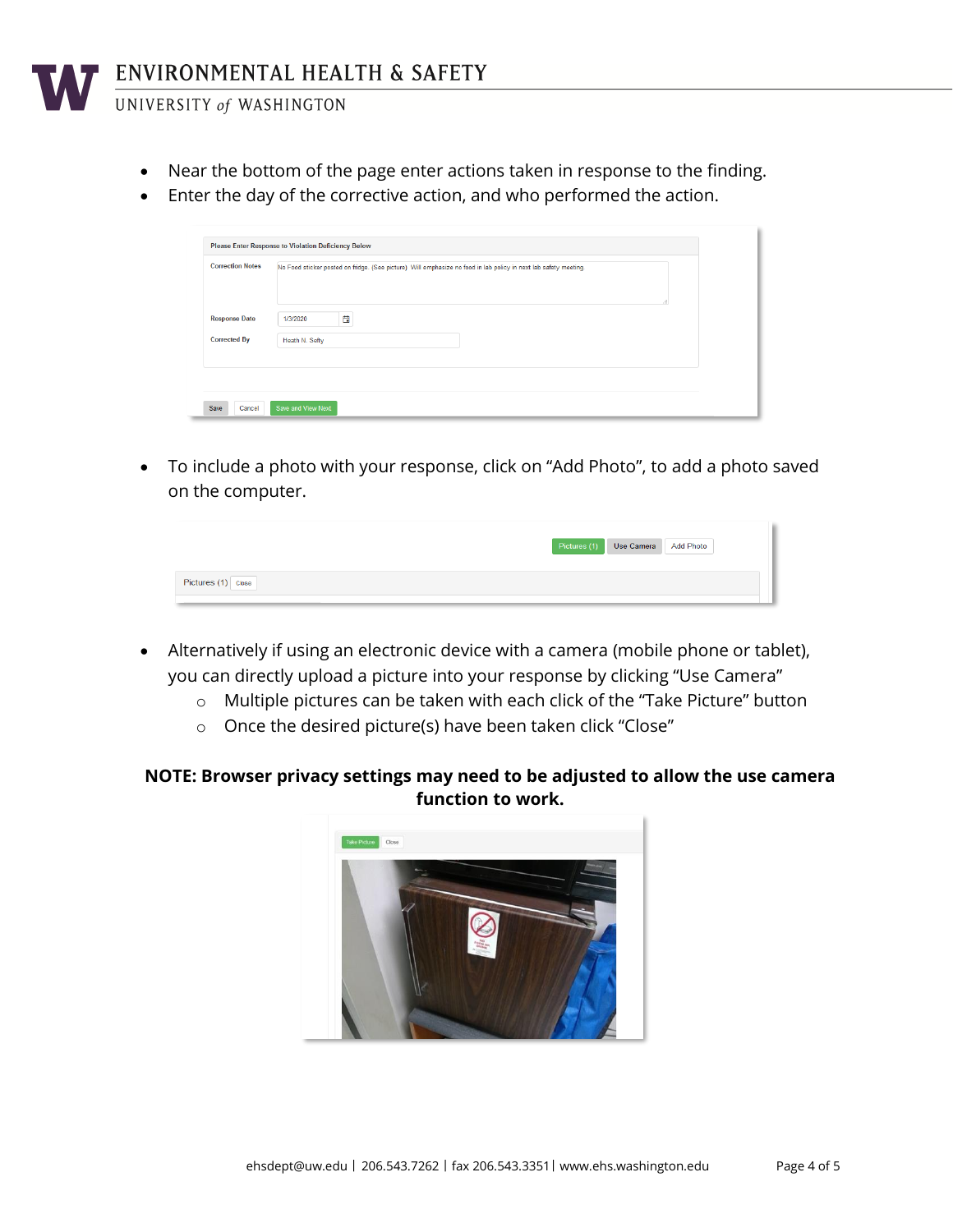

UNIVERSITY of WASHINGTON

- Near the bottom of the page enter actions taken in response to the finding.
- Enter the day of the corrective action, and who performed the action.

| <b>Correction Notes</b> | No Food sticker posted on fridge. (See picture) Will emphasize no food in lab policy in next lab safety meeting.<br>d. |  |
|-------------------------|------------------------------------------------------------------------------------------------------------------------|--|
| <b>Response Date</b>    | 曽<br>1/3/2020                                                                                                          |  |
| <b>Corrected By</b>     | Heath N. Sefty                                                                                                         |  |

 To include a photo with your response, click on "Add Photo", to add a photo saved on the computer.

|                    | Pictures (1) Use Camera Add Photo |  |
|--------------------|-----------------------------------|--|
| Pictures (1) Close |                                   |  |

- Alternatively if using an electronic device with a camera (mobile phone or tablet), you can directly upload a picture into your response by clicking "Use Camera"
	- o Multiple pictures can be taken with each click of the "Take Picture" button
	- o Once the desired picture(s) have been taken click "Close"

#### **NOTE: Browser privacy settings may need to be adjusted to allow the use camera function to work.**